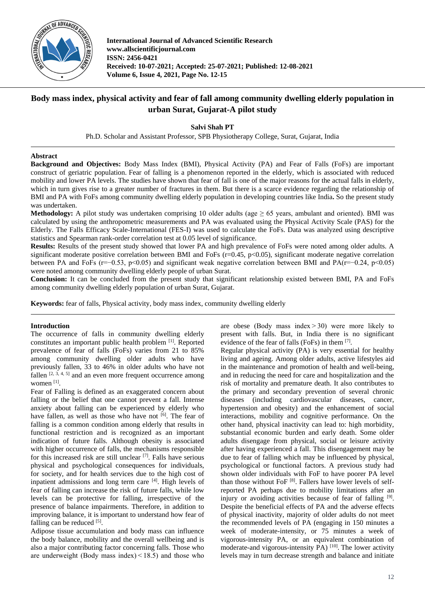

**International Journal of Advanced Scientific Research www.allscientificjournal.com ISSN: 2456-0421 Received: 10-07-2021; Accepted: 25-07-2021; Published: 12-08-2021 Volume 6, Issue 4, 2021, Page No. 12-15**

# **Body mass index, physical activity and fear of fall among community dwelling elderly population in urban Surat, Gujarat-A pilot study**

**Salvi Shah PT**

Ph.D. Scholar and Assistant Professor, SPB Physiotherapy College, Surat, Gujarat, India

# **Abstract**

**Background and Objectives:** Body Mass Index (BMI), Physical Activity (PA) and Fear of Falls (FoFs) are important construct of geriatric population. Fear of falling is a phenomenon reported in the elderly, which is associated with reduced mobility and lower PA levels. The studies have shown that fear of fall is one of the major reasons for the actual falls in elderly, which in turn gives rise to a greater number of fractures in them. But there is a scarce evidence regarding the relationship of BMI and PA with FoFs among community dwelling elderly population in developing countries like India**.** So the present study was undertaken.

**Methodology:** A pilot study was undertaken comprising 10 older adults (age  $\geq$  65 years, ambulant and oriented). BMI was calculated by using the anthropometric measurements and PA was evaluated using the Physical Activity Scale (PAS) for the Elderly. The Falls Efficacy Scale-International (FES-I) was used to calculate the FoFs. Data was analyzed using descriptive statistics and Spearman rank-order correlation test at 0.05 level of significance.

**Results:** Results of the present study showed that lower PA and high prevalence of FoFs were noted among older adults. A significant moderate positive correlation between BMI and FoFs ( $r=0.45$ ,  $p<0.05$ ), significant moderate negative correlation between PA and FoFs (r=−0.53, p<0.05) and significant weak negative correlation between BMI and PA(r=−0.24, p<0.05) were noted among community dwelling elderly people of urban Surat.

**Conclusion:** It can be concluded from the present study that significant relationship existed between BMI, PA and FoFs among community dwelling elderly population of urban Surat, Gujarat.

**Keywords:** fear of falls, Physical activity, body mass index, community dwelling elderly

# **Introduction**

The occurrence of falls in community dwelling elderly constitutes an important public health problem [1]. Reported prevalence of fear of falls (FoFs) varies from 21 to 85% among community dwelling older adults who have previously fallen, 33 to 46% in older adults who have not fallen  $[2, 3, 4, 5]$  and an even more frequent occurrence among women<sup>[1]</sup>.

Fear of Falling is defined as an exaggerated concern about falling or the belief that one cannot prevent a fall. Intense anxiety about falling can be experienced by elderly who have fallen, as well as those who have not [6]. The fear of falling is a common condition among elderly that results in functional restriction and is recognized as an important indication of future falls. Although obesity is associated with higher occurrence of falls, the mechanisms responsible for this increased risk are still unclear [7] . Falls have serious physical and psychological consequences for individuals, for society, and for health services due to the high cost of inpatient admissions and long term care  $[4]$ . High levels of fear of falling can increase the risk of future falls, while low levels can be protective for falling, irrespective of the presence of balance impairments. Therefore, in addition to improving balance, it is important to understand how fear of falling can be reduced [5].

Adipose tissue accumulation and body mass can influence the body balance, mobility and the overall wellbeing and is also a major contributing factor concerning falls. Those who are underweight (Body mass index) $\leq$ 18.5) and those who

are obese (Body mass index $>$ 30) were more likely to present with falls. But, in India there is no significant evidence of the fear of falls (FoFs) in them [7].

Regular physical activity (PA) is very essential for healthy living and ageing. Among older adults, active lifestyles aid in the maintenance and promotion of health and well-being, and in reducing the need for care and hospitalization and the risk of mortality and premature death. It also contributes to the primary and secondary prevention of several chronic diseases (including cardiovascular diseases, cancer, hypertension and obesity) and the enhancement of social interactions, mobility and cognitive performance. On the other hand, physical inactivity can lead to: high morbidity, substantial economic burden and early death. Some older adults disengage from physical, social or leisure activity after having experienced a fall. This disengagement may be due to fear of falling which may be influenced by physical, psychological or functional factors. A previous study had shown older individuals with FoF to have poorer PA level than those without FoF<sup>[8]</sup>. Fallers have lower levels of selfreported PA perhaps due to mobility limitations after an injury or avoiding activities because of fear of falling [9]. Despite the beneficial effects of PA and the adverse effects of physical inactivity, majority of older adults do not meet the recommended levels of PA (engaging in 150 minutes a week of moderate-intensity, or 75 minutes a week of vigorous-intensity PA, or an equivalent combination of moderate-and vigorous-intensity PA)<sup>[10]</sup>. The lower activity levels may in turn decrease strength and balance and initiate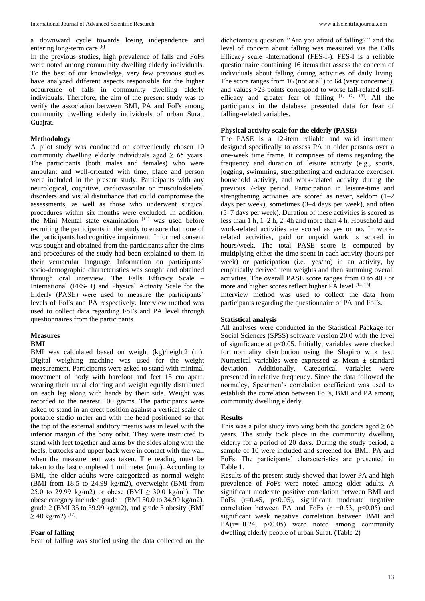a downward cycle towards losing independence and entering long-term care [8].

In the previous studies, high prevalence of falls and FoFs were noted among community dwelling elderly individuals. To the best of our knowledge, very few previous studies have analyzed different aspects responsible for the higher occurrence of falls in community dwelling elderly individuals. Therefore, the aim of the present study was to verify the association between BMI, PA and FoFs among community dwelling elderly individuals of urban Surat, Guajrat.

# **Methodology**

A pilot study was conducted on conveniently chosen 10 community dwelling elderly individuals aged  $\geq 65$  years. The participants (both males and females) who were ambulant and well-oriented with time, place and person were included in the present study. Participants with any neurological, cognitive, cardiovascular or musculoskeletal disorders and visual disturbance that could compromise the assessments, as well as those who underwent surgical procedures within six months were excluded. In addition, the Mini Mental state examination [11] was used before recruiting the participants in the study to ensure that none of the participants had cognitive impairment. Informed consent was sought and obtained from the participants after the aims and procedures of the study had been explained to them in their vernacular language. Information on participants' socio-demographic characteristics was sought and obtained through oral interview. The Falls Efficacy Scale – International (FES- I) and Physical Activity Scale for the Elderly (PASE) were used to measure the participants' levels of FoFs and PA respectively. Interview method was used to collect data regarding FoFs and PA level through questionnaires from the participants.

#### **Measures**

### **BMI**

BMI was calculated based on weight (kg)/height2 (m). Digital weighing machine was used for the weight measurement. Participants were asked to stand with minimal movement of body with barefoot and feet 15 cm apart, wearing their usual clothing and weight equally distributed on each leg along with hands by their side. Weight was recorded to the nearest 100 grams. The participants were asked to stand in an erect position against a vertical scale of portable stadio meter and with the head positioned so that the top of the external auditory meatus was in level with the inferior margin of the bony orbit. They were instructed to stand with feet together and arms by the sides along with the heels, buttocks and upper back were in contact with the wall when the measurement was taken. The reading must be taken to the last completed 1 milimeter (mm). According to BMI, the older adults were categorized as normal weight (BMI from 18.5 to 24.99 kg/m2), overweight (BMI from 25.0 to 29.99 kg/m2) or obese (BMI  $\geq$  30.0 kg/m<sup>2</sup>). The obese category included grade 1 (BMI 30.0 to 34.99 kg/m2), grade 2 (BMI 35 to 39.99 kg/m2), and grade 3 obesity (BMI  $\geq$  40 kg/m2)<sup>[12]</sup>.

#### **Fear of falling**

Fear of falling was studied using the data collected on the

dichotomous question ''Are you afraid of falling?'' and the level of concern about falling was measured via the Falls Efficacy scale -International (FES-I-). FES-I is a reliable questionnaire containing 16 items that assess the concern of individuals about falling during activities of daily living. The score ranges from 16 (not at all) to 64 (very concerned), and values >23 points correspond to worse fall-related selfefficacy and greater fear of falling  $[1, 12, 13]$ . All the participants in the database presented data for fear of falling-related variables.

# **Physical activity scale for the elderly (PASE)**

The PASE is a 12-item reliable and valid instrument designed specifically to assess PA in older persons over a one-week time frame. It comprises of items regarding the frequency and duration of leisure activity (e.g., sports, jogging, swimming, strengthening and endurance exercise), household activity, and work-related activity during the previous 7-day period. Participation in leisure-time and strengthening activities are scored as never, seldom (1–2 days per week), sometimes (3–4 days per week), and often (5–7 days per week). Duration of these activities is scored as less than 1 h, 1–2 h, 2–4h and more than 4 h. Household and work-related activities are scored as yes or no. In workrelated activities, paid or unpaid work is scored in hours/week. The total PASE score is computed by multiplying either the time spent in each activity (hours per week) or participation (i.e., yes/no) in an activity, by empirically derived item weights and then summing overall activities. The overall PASE score ranges from 0 to 400 or more and higher scores reflect higher PA level [14, 15].

Interview method was used to collect the data from participants regarding the questionnaire of PA and FoFs.

#### **Statistical analysis**

All analyses were conducted in the Statistical Package for Social Sciences (SPSS) software version 20.0 with the level of significance at p<0.05. Initially, variables were checked for normality distribution using the Shapiro wilk test. Numerical variables were expressed as Mean ± standard deviation. Additionally, Categorical variables were presented in relative frequency. Since the data followed the normalcy, Spearmen's correlation coefficient was used to establish the correlation between FoFs, BMI and PA among community dwelling elderly.

#### **Results**

This was a pilot study involving both the genders aged  $\geq 65$ years. The study took place in the community dwelling elderly for a period of 20 days. During the study period, a sample of 10 were included and screened for BMI, PA and FoFs. The participants' characteristics are presented in Table 1.

Results of the present study showed that lower PA and high prevalence of FoFs were noted among older adults. A significant moderate positive correlation between BMI and FoFs  $(r=0.45, p<0.05)$ , significant moderate negative correlation between PA and FoFs ( $r=-0.53$ ,  $p<0.05$ ) and significant weak negative correlation between BMI and PA( $r=-0.24$ ,  $p<0.05$ ) were noted among community dwelling elderly people of urban Surat. (Table 2)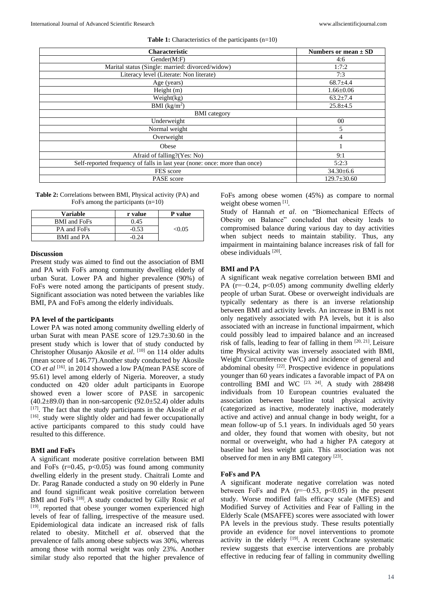| <b>Characteristic</b>                                                      | Numbers or mean $\pm$ SD |  |
|----------------------------------------------------------------------------|--------------------------|--|
| Gender(M: F)                                                               | 4:6                      |  |
| Marital status (Single: married: divorced/widow)                           | 1:7:2                    |  |
| Literacy level (Literate: Non literate)                                    | 7:3                      |  |
| Age (years)                                                                | $68.7+4.4$               |  |
| Height $(m)$                                                               | $1.66 \pm 0.06$          |  |
| Weight(kg)                                                                 | $63.2 \pm 7.4$           |  |
| BMI $(kg/m2)$                                                              | $25.8 \pm 4.5$           |  |
| <b>BMI</b> category                                                        |                          |  |
| Underweight                                                                | 00                       |  |
| Normal weight                                                              | 5                        |  |
| Overweight                                                                 | 4                        |  |
| Obese                                                                      |                          |  |
| Afraid of falling?(Yes: No)                                                | 9:1                      |  |
| Self-reported frequency of falls in last year (none: once: more than once) | 5:2:3                    |  |
| FES score                                                                  | $34.30\pm6.6$            |  |
| PASE score                                                                 | $129.7 \pm 30.60$        |  |

**Table 1:** Characteristics of the participants (n=10)

**Table 2:** Correlations between BMI, Physical activity (PA) and FoFs among the participants (n=10)

| <b>Variable</b>     | r value | P value |
|---------------------|---------|---------|
| <b>BMI</b> and FoFs | 0.45    |         |
| PA and FoFs         | $-0.53$ | < 0.05  |
| <b>BMI</b> and PA   |         |         |

#### **Discussion**

Present study was aimed to find out the association of BMI and PA with FoFs among community dwelling elderly of urban Surat. Lower PA and higher prevalence (90%) of FoFs were noted among the participants of present study. Significant association was noted between the variables like BMI, PA and FoFs among the elderly individuals.

#### **PA level of the participants**

Lower PA was noted among community dwelling elderly of urban Surat with mean PASE score of 129.7±30.60 in the present study which is lower that of study conducted by Christopher Olusanjo Akosile *et al*. [10] on 114 older adults (mean score of 146.77).Another study conducted by Akosile CO *et al* <sup>[16]</sup>. in 2014 showed a low PA(mean PASE score of 95.61) level among elderly of Nigeria. Moreover, a study conducted on 420 older adult participants in Euorope showed even a lower score of PASE in sarcopenic  $(40.2\pm89.0)$  than in non-sarcopenic  $(92.0\pm52.4)$  older adults [17] . The fact that the study participants in the Akosile *et al* [16]. study were slightly older and had fewer occupationally active participants compared to this study could have resulted to this difference.

#### **BMI and FoFs**

A significant moderate positive correlation between BMI and FoFs ( $r=0.45$ ,  $p<0.05$ ) was found among community dwelling elderly in the present study. Chaitrali Lomte and Dr. Parag Ranade conducted a study on 90 elderly in Pune and found significant weak positive correlation between BMI and FoFs [18] **.** A study conducted by Gilly Rosic *et al* [19]. reported that obese younger women experienced high levels of fear of falling, irrespective of the measure used. Epidemiological data indicate an increased risk of falls related to obesity. Mitchell *et al*. observed that the prevalence of falls among obese subjects was 30%, whereas among those with normal weight was only 23%. Another similar study also reported that the higher prevalence of FoFs among obese women (45%) as compare to normal weight obese women [1].

Study of Hannah *et al*. on "Biomechanical Effects of Obesity on Balance" concluded that obesity leads to compromised balance during various day to day activities when subject needs to maintain stability. Thus, any impairment in maintaining balance increases risk of fall for obese individuals [20] .

# **BMI and PA**

A significant weak negative correlation between BMI and PA (r=−0.24, p<0.05) among community dwelling elderly people of urban Surat. Obese or overweight individuals are typically sedentary as there is an inverse relationship between BMI and activity levels. An increase in BMI is not only negatively associated with PA levels, but it is also associated with an increase in functional impairment, which could possibly lead to impaired balance and an increased risk of falls, leading to fear of falling in them  $[20, 21]$ . Leisure time Physical activity was inversely associated with BMI, Weight Circumference (WC) and incidence of general and abdominal obesity <sup>[22]</sup>. Prospective evidence in populations younger than 60 years indicates a favorable impact of PA on controlling BMI and WC  $[23, 24]$ . A study with 288498 individuals from 10 European countries evaluated the association between baseline total physical activity (categorized as inactive, moderately inactive, moderately active and active) and annual change in body weight, for a mean follow-up of 5.1 years. In individuals aged 50 years and older, they found that women with obesity, but not normal or overweight, who had a higher PA category at baseline had less weight gain. This association was not observed for men in any BMI category<sup>[23]</sup>.

#### **FoFs and PA**

A significant moderate negative correlation was noted between FoFs and PA  $(r=-0.53, p<0.05)$  in the present study. Worse modified falls efficacy scale (MFES) and Modified Survey of Activities and Fear of Falling in the Elderly Scale (MSAFFE) scores were associated with lower PA levels in the previous study. These results potentially provide an evidence for novel interventions to promote activity in the elderly <sup>[19]</sup>. A recent Cochrane systematic review suggests that exercise interventions are probably effective in reducing fear of falling in community dwelling